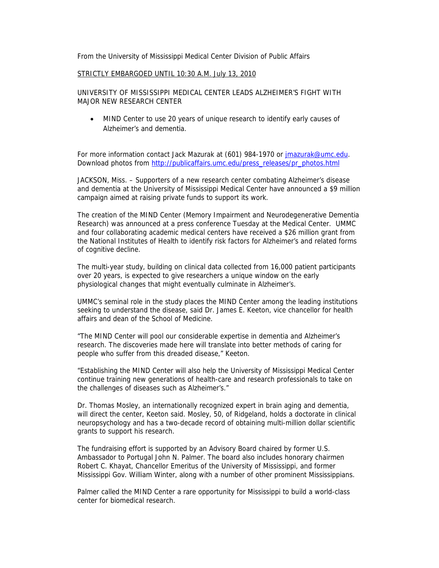From the University of Mississippi Medical Center Division of Public Affairs

## STRICTLY EMBARGOED UNTIL 10:30 A.M. July 13, 2010

UNIVERSITY OF MISSISSIPPI MEDICAL CENTER LEADS ALZHEIMER'S FIGHT WITH MAJOR NEW RESEARCH CENTER

 MIND Center to use 20 years of unique research to identify early causes of Alzheimer's and dementia.

For more information contact Jack Mazurak at (601) 984-1970 or jmazurak@umc.edu. Download photos from http://publicaffairs.umc.edu/press\_releases/pr\_photos.html

JACKSON, Miss. – Supporters of a new research center combating Alzheimer's disease and dementia at the University of Mississippi Medical Center have announced a \$9 million campaign aimed at raising private funds to support its work.

The creation of the MIND Center (Memory Impairment and Neurodegenerative Dementia Research) was announced at a press conference Tuesday at the Medical Center. UMMC and four collaborating academic medical centers have received a \$26 million grant from the National Institutes of Health to identify risk factors for Alzheimer's and related forms of cognitive decline.

The multi-year study, building on clinical data collected from 16,000 patient participants over 20 years, is expected to give researchers a unique window on the early physiological changes that might eventually culminate in Alzheimer's.

UMMC's seminal role in the study places the MIND Center among the leading institutions seeking to understand the disease, said Dr. James E. Keeton, vice chancellor for health affairs and dean of the School of Medicine.

"The MIND Center will pool our considerable expertise in dementia and Alzheimer's research. The discoveries made here will translate into better methods of caring for people who suffer from this dreaded disease," Keeton.

"Establishing the MIND Center will also help the University of Mississippi Medical Center continue training new generations of health-care and research professionals to take on the challenges of diseases such as Alzheimer's."

Dr. Thomas Mosley, an internationally recognized expert in brain aging and dementia, will direct the center, Keeton said. Mosley, 50, of Ridgeland, holds a doctorate in clinical neuropsychology and has a two-decade record of obtaining multi-million dollar scientific grants to support his research.

The fundraising effort is supported by an Advisory Board chaired by former U.S. Ambassador to Portugal John N. Palmer. The board also includes honorary chairmen Robert C. Khayat, Chancellor Emeritus of the University of Mississippi, and former Mississippi Gov. William Winter, along with a number of other prominent Mississippians.

Palmer called the MIND Center a rare opportunity for Mississippi to build a world-class center for biomedical research.